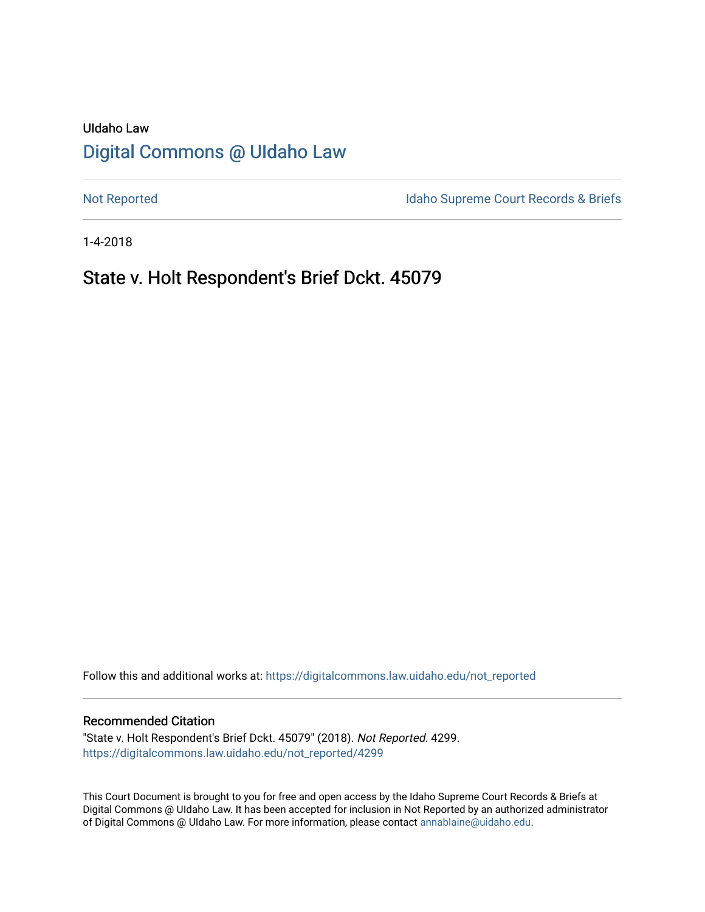# UIdaho Law [Digital Commons @ UIdaho Law](https://digitalcommons.law.uidaho.edu/)

[Not Reported](https://digitalcommons.law.uidaho.edu/not_reported) **Idaho Supreme Court Records & Briefs** 

1-4-2018

# State v. Holt Respondent's Brief Dckt. 45079

Follow this and additional works at: [https://digitalcommons.law.uidaho.edu/not\\_reported](https://digitalcommons.law.uidaho.edu/not_reported?utm_source=digitalcommons.law.uidaho.edu%2Fnot_reported%2F4299&utm_medium=PDF&utm_campaign=PDFCoverPages) 

#### Recommended Citation

"State v. Holt Respondent's Brief Dckt. 45079" (2018). Not Reported. 4299. [https://digitalcommons.law.uidaho.edu/not\\_reported/4299](https://digitalcommons.law.uidaho.edu/not_reported/4299?utm_source=digitalcommons.law.uidaho.edu%2Fnot_reported%2F4299&utm_medium=PDF&utm_campaign=PDFCoverPages)

This Court Document is brought to you for free and open access by the Idaho Supreme Court Records & Briefs at Digital Commons @ UIdaho Law. It has been accepted for inclusion in Not Reported by an authorized administrator of Digital Commons @ UIdaho Law. For more information, please contact [annablaine@uidaho.edu](mailto:annablaine@uidaho.edu).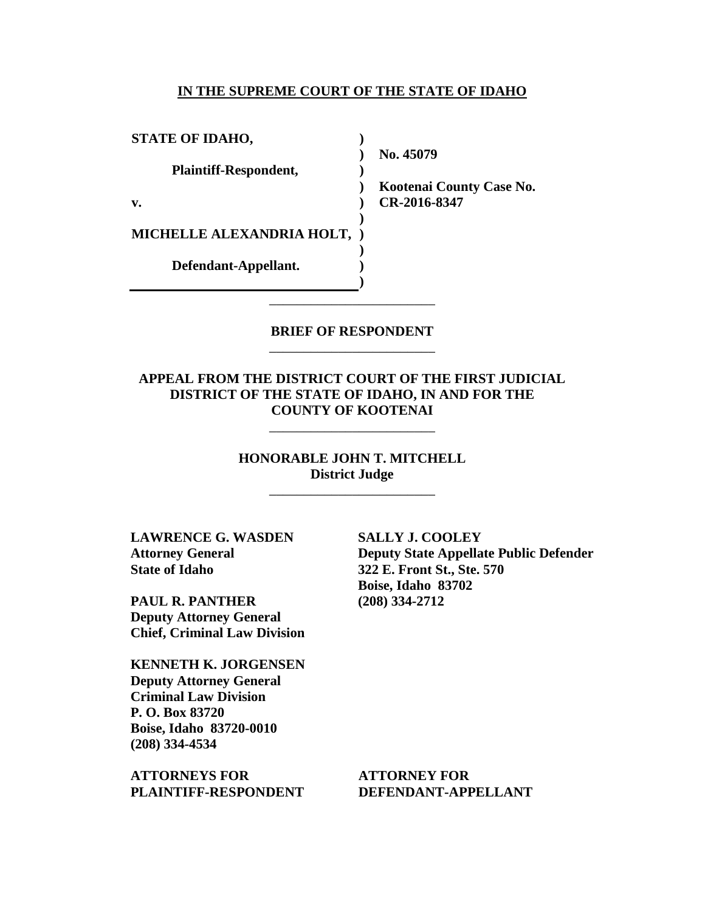#### **IN THE SUPREME COURT OF THE STATE OF IDAHO**

**) ) ) ) ) )** 

> **) ) )**

**STATE OF IDAHO, Plaintiff-Respondent, v. MICHELLE ALEXANDRIA HOLT, )** 

**Defendant-Appellant.**

**No. 45079** 

**Kootenai County Case No. CR-2016-8347** 

## **BRIEF OF RESPONDENT** \_\_\_\_\_\_\_\_\_\_\_\_\_\_\_\_\_\_\_\_\_\_\_\_

\_\_\_\_\_\_\_\_\_\_\_\_\_\_\_\_\_\_\_\_\_\_\_\_

**APPEAL FROM THE DISTRICT COURT OF THE FIRST JUDICIAL DISTRICT OF THE STATE OF IDAHO, IN AND FOR THE COUNTY OF KOOTENAI**

\_\_\_\_\_\_\_\_\_\_\_\_\_\_\_\_\_\_\_\_\_\_\_\_

**HONORABLE JOHN T. MITCHELL District Judge**

\_\_\_\_\_\_\_\_\_\_\_\_\_\_\_\_\_\_\_\_\_\_\_\_

**LAWRENCE G. WASDEN Attorney General State of Idaho**

**PAUL R. PANTHER Deputy Attorney General Chief, Criminal Law Division** 

**KENNETH K. JORGENSEN Deputy Attorney General Criminal Law Division P. O. Box 83720 Boise, Idaho 83720-0010 (208) 334-4534** 

**ATTORNEYS FOR PLAINTIFF-RESPONDENT** **SALLY J. COOLEY Deputy State Appellate Public Defender 322 E. Front St., Ste. 570 Boise, Idaho 83702 (208) 334-2712** 

**ATTORNEY FOR DEFENDANT-APPELLANT**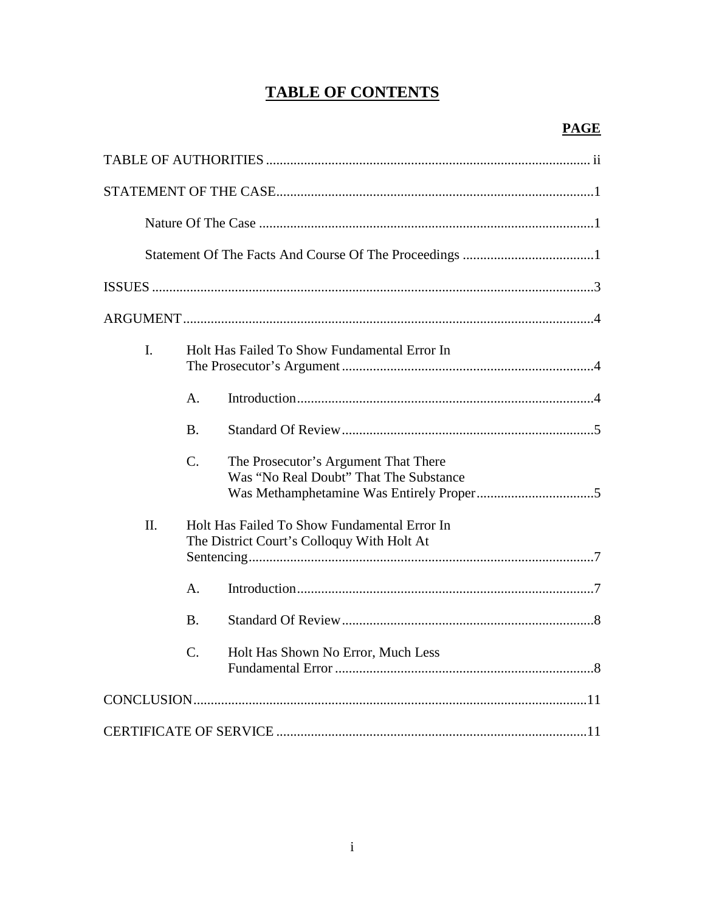# **TABLE OF CONTENTS**

| I.  | Holt Has Failed To Show Fundamental Error In |                                                                                            |  |
|-----|----------------------------------------------|--------------------------------------------------------------------------------------------|--|
|     | A.                                           |                                                                                            |  |
|     | <b>B.</b>                                    |                                                                                            |  |
|     | $C_{\cdot}$                                  | The Prosecutor's Argument That There<br>Was "No Real Doubt" That The Substance             |  |
| II. |                                              | Holt Has Failed To Show Fundamental Error In<br>The District Court's Colloquy With Holt At |  |
|     | A <sub>1</sub>                               |                                                                                            |  |
|     | <b>B.</b>                                    |                                                                                            |  |
|     | $\overline{C}$ .                             | Holt Has Shown No Error, Much Less                                                         |  |
|     |                                              |                                                                                            |  |
|     |                                              |                                                                                            |  |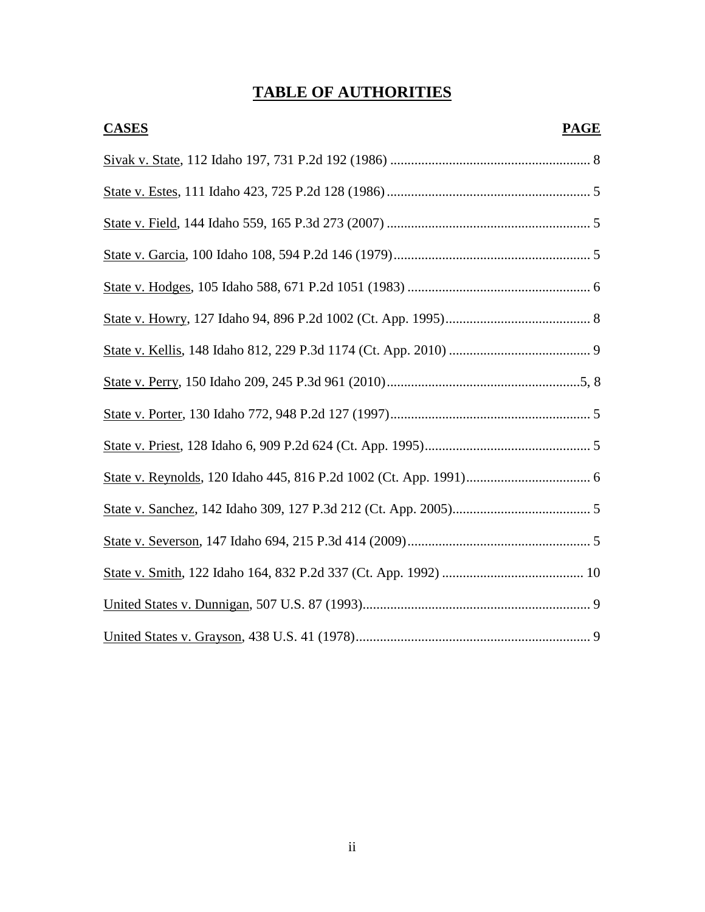# **TABLE OF AUTHORITIES**

| <b>CASES</b> | <b>PAGE</b> |
|--------------|-------------|
|              |             |
|              |             |
|              |             |
|              |             |
|              |             |
|              |             |
|              |             |
|              |             |
|              |             |
|              |             |
|              |             |
|              |             |
|              |             |
|              |             |
|              |             |
|              |             |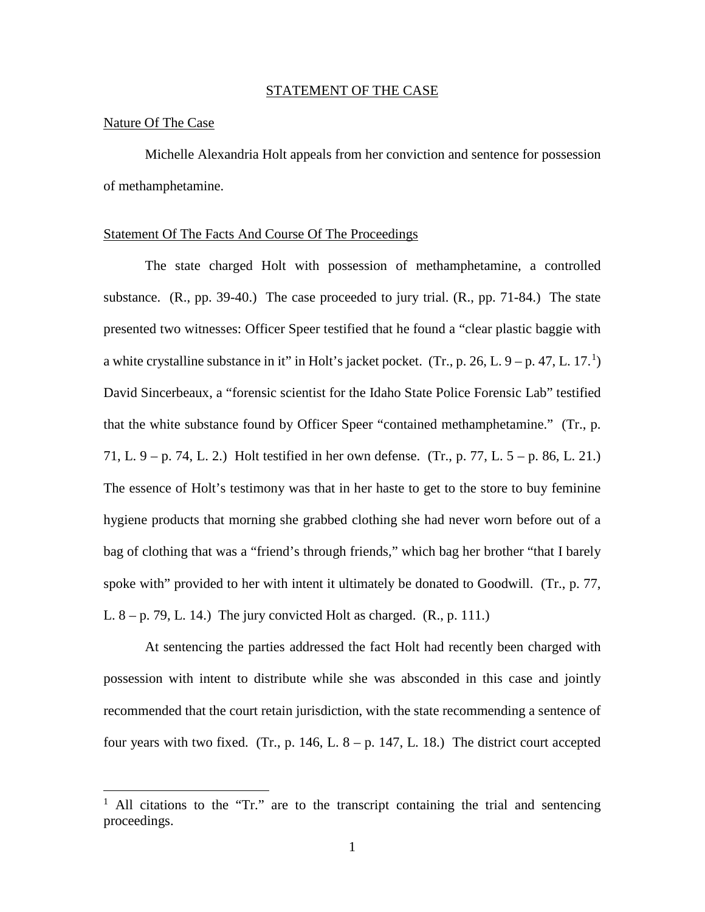#### STATEMENT OF THE CASE

### Nature Of The Case

 $\overline{a}$ 

 Michelle Alexandria Holt appeals from her conviction and sentence for possession of methamphetamine.

#### Statement Of The Facts And Course Of The Proceedings

The state charged Holt with possession of methamphetamine, a controlled substance. (R., pp. 39-40.) The case proceeded to jury trial. (R., pp. 71-84.) The state presented two witnesses: Officer Speer testified that he found a "clear plastic baggie with a white crystalline substance in it" in Holt's jacket pocket. (Tr., p. 26, L.  $9 - p$ . 47, L. [1](#page-4-0)7.<sup>1</sup>) David Sincerbeaux, a "forensic scientist for the Idaho State Police Forensic Lab" testified that the white substance found by Officer Speer "contained methamphetamine." (Tr., p. 71, L. 9 – p. 74, L. 2.) Holt testified in her own defense. (Tr., p. 77, L. 5 – p. 86, L. 21.) The essence of Holt's testimony was that in her haste to get to the store to buy feminine hygiene products that morning she grabbed clothing she had never worn before out of a bag of clothing that was a "friend's through friends," which bag her brother "that I barely spoke with" provided to her with intent it ultimately be donated to Goodwill. (Tr., p. 77, L.  $8 - p$ . 79, L. 14.) The jury convicted Holt as charged.  $(R., p. 111.)$ 

At sentencing the parties addressed the fact Holt had recently been charged with possession with intent to distribute while she was absconded in this case and jointly recommended that the court retain jurisdiction, with the state recommending a sentence of four years with two fixed. (Tr., p. 146, L.  $8 - p$ . 147, L. 18.) The district court accepted

<span id="page-4-0"></span><sup>&</sup>lt;sup>1</sup> All citations to the "Tr." are to the transcript containing the trial and sentencing proceedings.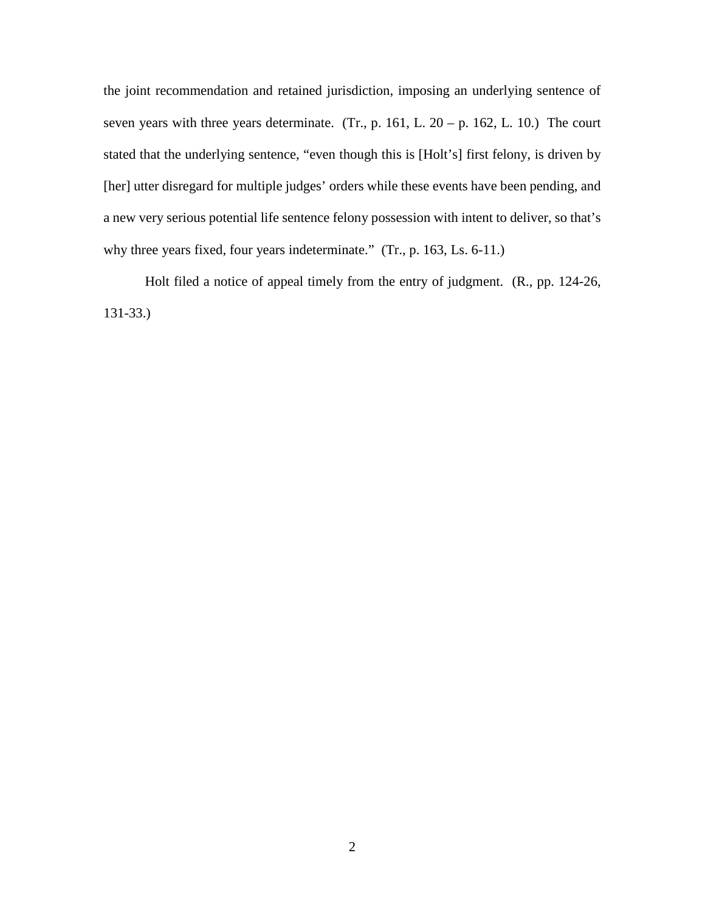the joint recommendation and retained jurisdiction, imposing an underlying sentence of seven years with three years determinate. (Tr., p. 161, L.  $20 - p$ . 162, L. 10.) The court stated that the underlying sentence, "even though this is [Holt's] first felony, is driven by [her] utter disregard for multiple judges' orders while these events have been pending, and a new very serious potential life sentence felony possession with intent to deliver, so that's why three years fixed, four years indeterminate." (Tr., p. 163, Ls. 6-11.)

Holt filed a notice of appeal timely from the entry of judgment. (R., pp. 124-26, 131-33.)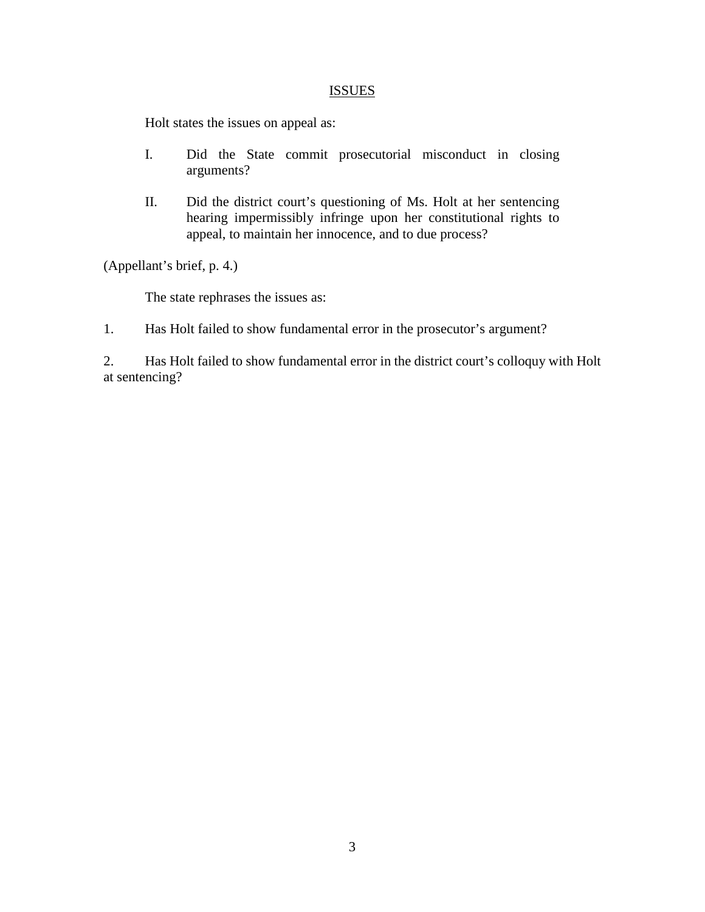## **ISSUES**

Holt states the issues on appeal as:

- I. Did the State commit prosecutorial misconduct in closing arguments?
- II. Did the district court's questioning of Ms. Holt at her sentencing hearing impermissibly infringe upon her constitutional rights to appeal, to maintain her innocence, and to due process?

(Appellant's brief, p. 4.)

The state rephrases the issues as:

1. Has Holt failed to show fundamental error in the prosecutor's argument?

2. Has Holt failed to show fundamental error in the district court's colloquy with Holt at sentencing?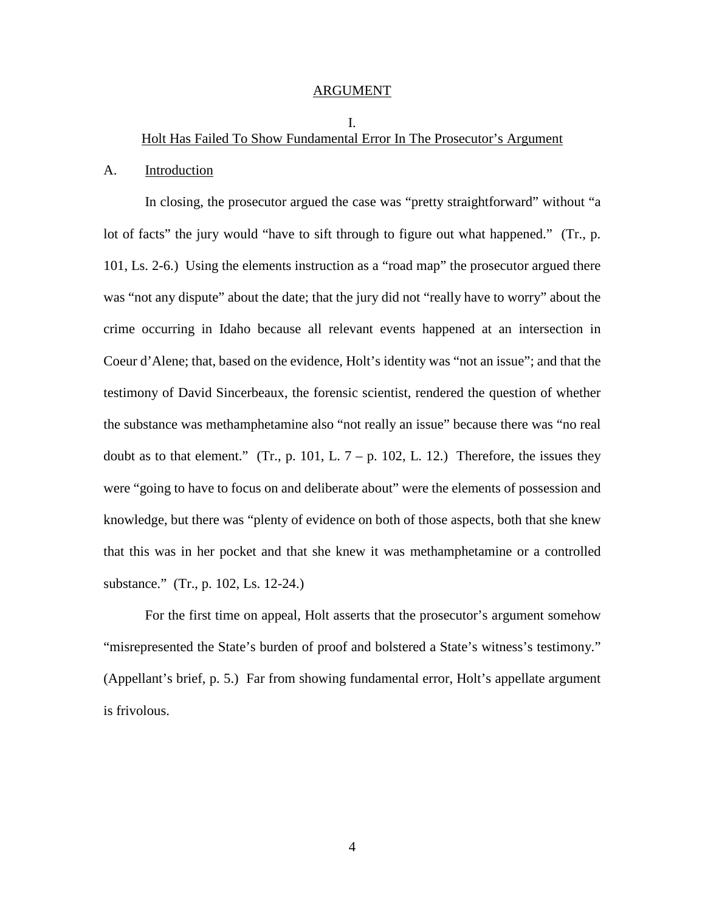#### ARGUMENT

## I. Holt Has Failed To Show Fundamental Error In The Prosecutor's Argument

#### A. Introduction

In closing, the prosecutor argued the case was "pretty straightforward" without "a lot of facts" the jury would "have to sift through to figure out what happened." (Tr., p. 101, Ls. 2-6.) Using the elements instruction as a "road map" the prosecutor argued there was "not any dispute" about the date; that the jury did not "really have to worry" about the crime occurring in Idaho because all relevant events happened at an intersection in Coeur d'Alene; that, based on the evidence, Holt's identity was "not an issue"; and that the testimony of David Sincerbeaux, the forensic scientist, rendered the question of whether the substance was methamphetamine also "not really an issue" because there was "no real doubt as to that element." (Tr., p. 101, L.  $7 - p$ . 102, L. 12.) Therefore, the issues they were "going to have to focus on and deliberate about" were the elements of possession and knowledge, but there was "plenty of evidence on both of those aspects, both that she knew that this was in her pocket and that she knew it was methamphetamine or a controlled substance." (Tr., p. 102, Ls. 12-24.)

For the first time on appeal, Holt asserts that the prosecutor's argument somehow "misrepresented the State's burden of proof and bolstered a State's witness's testimony." (Appellant's brief, p. 5.) Far from showing fundamental error, Holt's appellate argument is frivolous.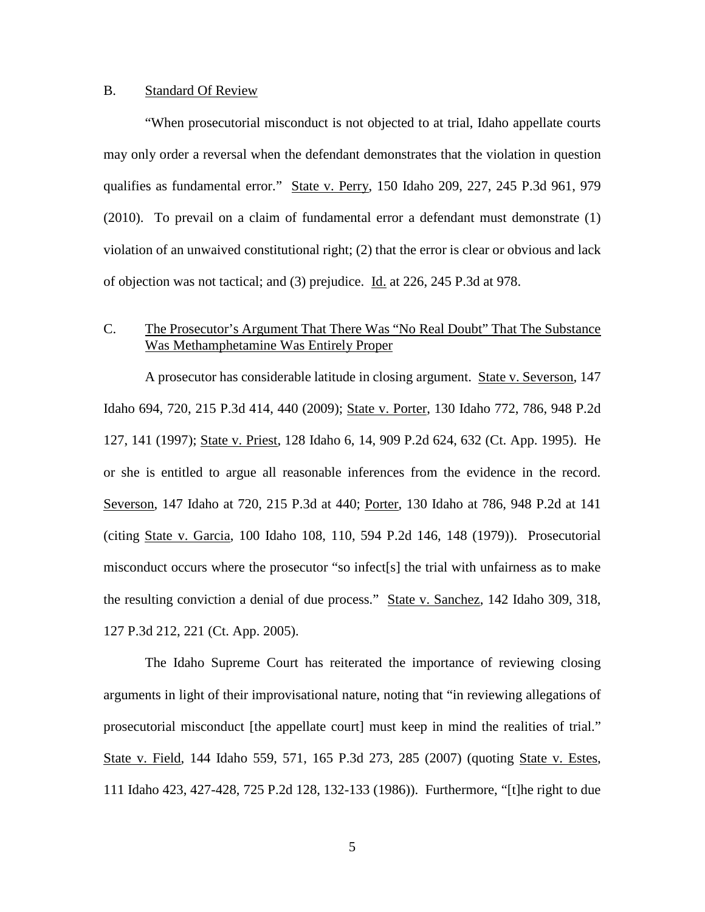### B. Standard Of Review

"When prosecutorial misconduct is not objected to at trial, Idaho appellate courts may only order a reversal when the defendant demonstrates that the violation in question qualifies as fundamental error." State v. Perry, 150 Idaho 209, 227, 245 P.3d 961, 979 (2010). To prevail on a claim of fundamental error a defendant must demonstrate (1) violation of an unwaived constitutional right; (2) that the error is clear or obvious and lack of objection was not tactical; and (3) prejudice. Id. at 226, 245 P.3d at 978.

## C. The Prosecutor's Argument That There Was "No Real Doubt" That The Substance Was Methamphetamine Was Entirely Proper

A prosecutor has considerable latitude in closing argument. State v. Severson, 147 Idaho 694, 720, 215 P.3d 414, 440 (2009); State v. Porter, 130 Idaho 772, 786, 948 P.2d 127, 141 (1997); State v. Priest, 128 Idaho 6, 14, 909 P.2d 624, 632 (Ct. App. 1995). He or she is entitled to argue all reasonable inferences from the evidence in the record. Severson, 147 Idaho at 720, 215 P.3d at 440; Porter, 130 Idaho at 786, 948 P.2d at 141 (citing State v. Garcia, 100 Idaho 108, 110, 594 P.2d 146, 148 (1979)). Prosecutorial misconduct occurs where the prosecutor "so infect[s] the trial with unfairness as to make the resulting conviction a denial of due process." State v. Sanchez, 142 Idaho 309, 318, 127 P.3d 212, 221 (Ct. App. 2005).

The Idaho Supreme Court has reiterated the importance of reviewing closing arguments in light of their improvisational nature, noting that "in reviewing allegations of prosecutorial misconduct [the appellate court] must keep in mind the realities of trial." State v. Field, 144 Idaho 559, 571, 165 P.3d 273, 285 (2007) (quoting State v. Estes, 111 Idaho 423, 427-428, 725 P.2d 128, 132-133 (1986)). Furthermore, "[t]he right to due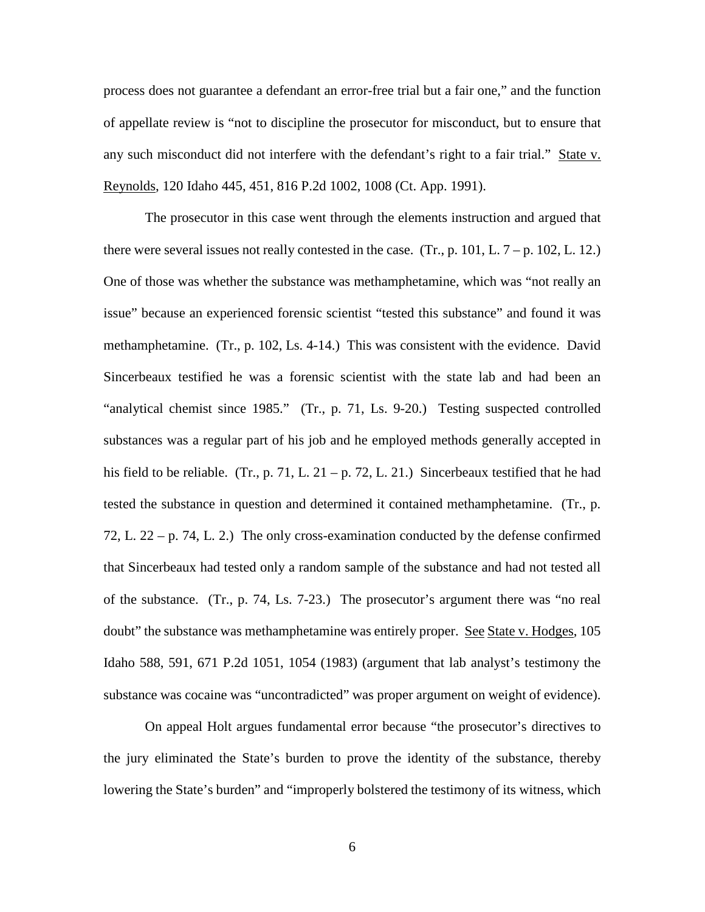process does not guarantee a defendant an error-free trial but a fair one," and the function of appellate review is "not to discipline the prosecutor for misconduct, but to ensure that any such misconduct did not interfere with the defendant's right to a fair trial." State v. Reynolds, 120 Idaho 445, 451, 816 P.2d 1002, 1008 (Ct. App. 1991).

The prosecutor in this case went through the elements instruction and argued that there were several issues not really contested in the case.  $(Tr, p. 101, L. 7 - p. 102, L. 12.)$ One of those was whether the substance was methamphetamine, which was "not really an issue" because an experienced forensic scientist "tested this substance" and found it was methamphetamine. (Tr., p. 102, Ls. 4-14.) This was consistent with the evidence. David Sincerbeaux testified he was a forensic scientist with the state lab and had been an "analytical chemist since 1985." (Tr., p. 71, Ls. 9-20.) Testing suspected controlled substances was a regular part of his job and he employed methods generally accepted in his field to be reliable. (Tr., p. 71, L. 21 – p. 72, L. 21.) Sincerbeaux testified that he had tested the substance in question and determined it contained methamphetamine. (Tr., p. 72, L. 22 – p. 74, L. 2.) The only cross-examination conducted by the defense confirmed that Sincerbeaux had tested only a random sample of the substance and had not tested all of the substance. (Tr., p. 74, Ls. 7-23.) The prosecutor's argument there was "no real doubt" the substance was methamphetamine was entirely proper. See State v. Hodges, 105 Idaho 588, 591, 671 P.2d 1051, 1054 (1983) (argument that lab analyst's testimony the substance was cocaine was "uncontradicted" was proper argument on weight of evidence).

On appeal Holt argues fundamental error because "the prosecutor's directives to the jury eliminated the State's burden to prove the identity of the substance, thereby lowering the State's burden" and "improperly bolstered the testimony of its witness, which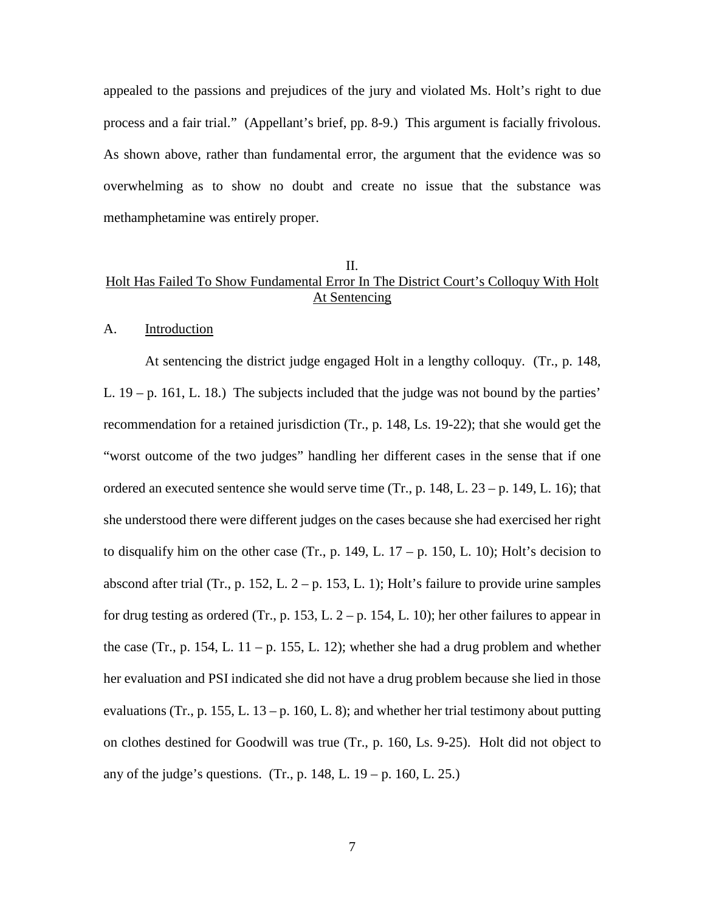appealed to the passions and prejudices of the jury and violated Ms. Holt's right to due process and a fair trial." (Appellant's brief, pp. 8-9.) This argument is facially frivolous. As shown above, rather than fundamental error, the argument that the evidence was so overwhelming as to show no doubt and create no issue that the substance was methamphetamine was entirely proper.

#### II.

## Holt Has Failed To Show Fundamental Error In The District Court's Colloquy With Holt At Sentencing

### A. Introduction

At sentencing the district judge engaged Holt in a lengthy colloquy. (Tr., p. 148, L. 19 – p. 161, L. 18.) The subjects included that the judge was not bound by the parties' recommendation for a retained jurisdiction (Tr., p. 148, Ls. 19-22); that she would get the "worst outcome of the two judges" handling her different cases in the sense that if one ordered an executed sentence she would serve time  $(Tr, p. 148, L. 23 - p. 149, L. 16)$ ; that she understood there were different judges on the cases because she had exercised her right to disqualify him on the other case (Tr., p. 149, L.  $17 - p$ , 150, L. 10); Holt's decision to abscond after trial (Tr., p. 152, L.  $2 - p$ . 153, L. 1); Holt's failure to provide urine samples for drug testing as ordered (Tr., p. 153, L.  $2-p$ . 154, L. 10); her other failures to appear in the case (Tr., p. 154, L.  $11 - p$ . 155, L. 12); whether she had a drug problem and whether her evaluation and PSI indicated she did not have a drug problem because she lied in those evaluations (Tr., p. 155, L. 13 – p. 160, L. 8); and whether her trial testimony about putting on clothes destined for Goodwill was true (Tr., p. 160, Ls. 9-25). Holt did not object to any of the judge's questions. (Tr., p. 148, L.  $19 - p$ . 160, L. 25.)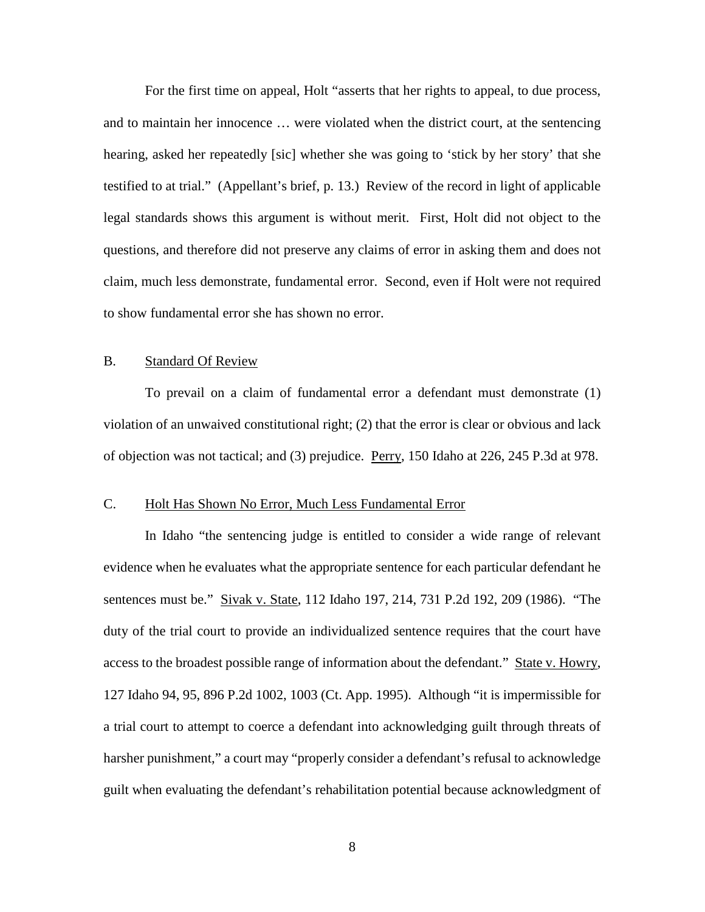For the first time on appeal, Holt "asserts that her rights to appeal, to due process, and to maintain her innocence … were violated when the district court, at the sentencing hearing, asked her repeatedly [sic] whether she was going to 'stick by her story' that she testified to at trial." (Appellant's brief, p. 13.) Review of the record in light of applicable legal standards shows this argument is without merit. First, Holt did not object to the questions, and therefore did not preserve any claims of error in asking them and does not claim, much less demonstrate, fundamental error. Second, even if Holt were not required to show fundamental error she has shown no error.

## B. Standard Of Review

To prevail on a claim of fundamental error a defendant must demonstrate (1) violation of an unwaived constitutional right; (2) that the error is clear or obvious and lack of objection was not tactical; and (3) prejudice. Perry, 150 Idaho at 226, 245 P.3d at 978.

## C. Holt Has Shown No Error, Much Less Fundamental Error

In Idaho "the sentencing judge is entitled to consider a wide range of relevant evidence when he evaluates what the appropriate sentence for each particular defendant he sentences must be." Sivak v. State, 112 Idaho 197, 214, 731 P.2d 192, 209 (1986). "The duty of the trial court to provide an individualized sentence requires that the court have access to the broadest possible range of information about the defendant." State v. Howry, 127 Idaho 94, 95, 896 P.2d 1002, 1003 (Ct. App. 1995). Although "it is impermissible for a trial court to attempt to coerce a defendant into acknowledging guilt through threats of harsher punishment," a court may "properly consider a defendant's refusal to acknowledge guilt when evaluating the defendant's rehabilitation potential because acknowledgment of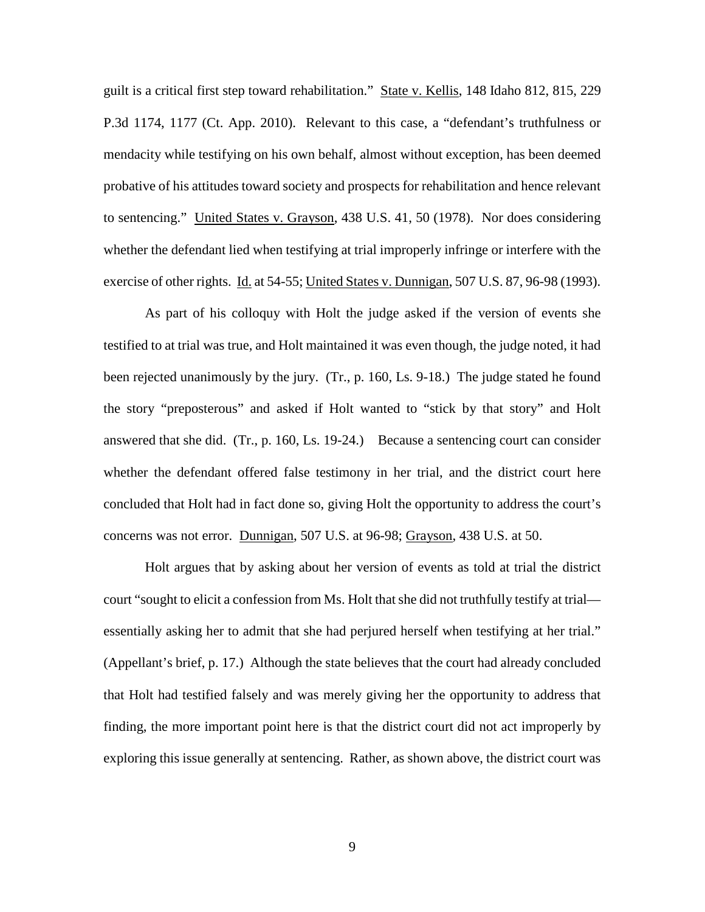guilt is a critical first step toward rehabilitation." State v. Kellis, 148 Idaho 812, 815, 229 P.3d 1174, 1177 (Ct. App. 2010). Relevant to this case, a "defendant's truthfulness or mendacity while testifying on his own behalf, almost without exception, has been deemed probative of his attitudes toward society and prospects for rehabilitation and hence relevant to sentencing." United States v. Grayson, 438 U.S. 41, 50 (1978). Nor does considering whether the defendant lied when testifying at trial improperly infringe or interfere with the exercise of other rights. Id. at 54-55; United States v. Dunnigan, 507 U.S. 87, 96-98 (1993).

As part of his colloquy with Holt the judge asked if the version of events she testified to at trial was true, and Holt maintained it was even though, the judge noted, it had been rejected unanimously by the jury. (Tr., p. 160, Ls. 9-18.) The judge stated he found the story "preposterous" and asked if Holt wanted to "stick by that story" and Holt answered that she did. (Tr., p. 160, Ls. 19-24.) Because a sentencing court can consider whether the defendant offered false testimony in her trial, and the district court here concluded that Holt had in fact done so, giving Holt the opportunity to address the court's concerns was not error. Dunnigan, 507 U.S. at 96-98; Grayson, 438 U.S. at 50.

Holt argues that by asking about her version of events as told at trial the district court "sought to elicit a confession from Ms. Holt that she did not truthfully testify at trial essentially asking her to admit that she had perjured herself when testifying at her trial." (Appellant's brief, p. 17.) Although the state believes that the court had already concluded that Holt had testified falsely and was merely giving her the opportunity to address that finding, the more important point here is that the district court did not act improperly by exploring this issue generally at sentencing. Rather, as shown above, the district court was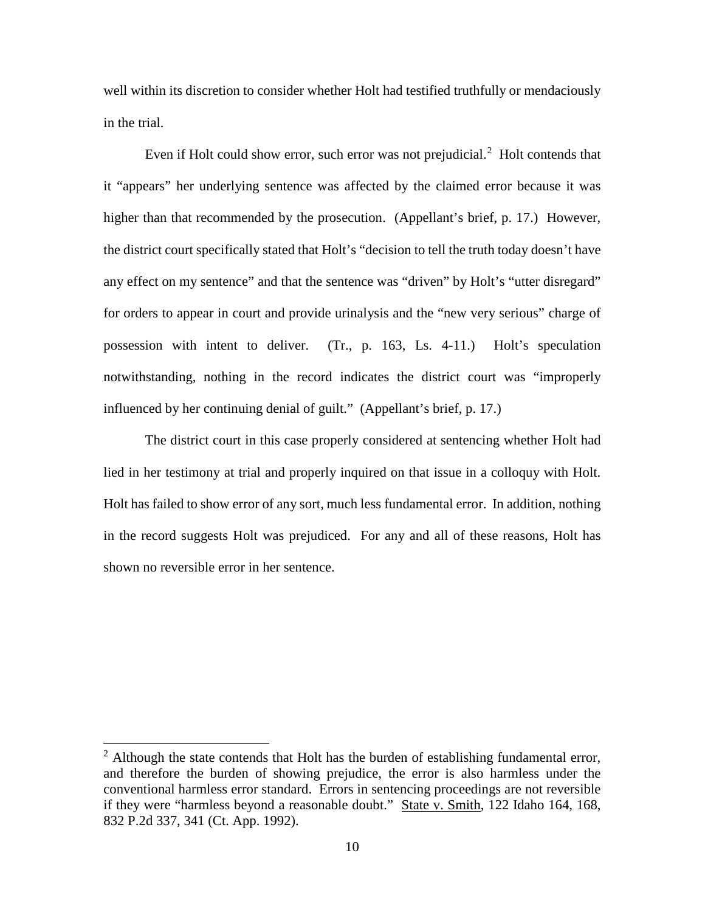well within its discretion to consider whether Holt had testified truthfully or mendaciously in the trial.

Even if Holt could show error, such error was not prejudicial.<sup>[2](#page-13-0)</sup> Holt contends that it "appears" her underlying sentence was affected by the claimed error because it was higher than that recommended by the prosecution. (Appellant's brief, p. 17.) However, the district court specifically stated that Holt's "decision to tell the truth today doesn't have any effect on my sentence" and that the sentence was "driven" by Holt's "utter disregard" for orders to appear in court and provide urinalysis and the "new very serious" charge of possession with intent to deliver. (Tr., p. 163, Ls. 4-11.) Holt's speculation notwithstanding, nothing in the record indicates the district court was "improperly influenced by her continuing denial of guilt." (Appellant's brief, p. 17.)

The district court in this case properly considered at sentencing whether Holt had lied in her testimony at trial and properly inquired on that issue in a colloquy with Holt. Holt has failed to show error of any sort, much less fundamental error. In addition, nothing in the record suggests Holt was prejudiced. For any and all of these reasons, Holt has shown no reversible error in her sentence.

 $\overline{a}$ 

<span id="page-13-0"></span> $2$  Although the state contends that Holt has the burden of establishing fundamental error, and therefore the burden of showing prejudice, the error is also harmless under the conventional harmless error standard. Errors in sentencing proceedings are not reversible if they were "harmless beyond a reasonable doubt." State v. Smith, 122 Idaho 164, 168, 832 P.2d 337, 341 (Ct. App. 1992).